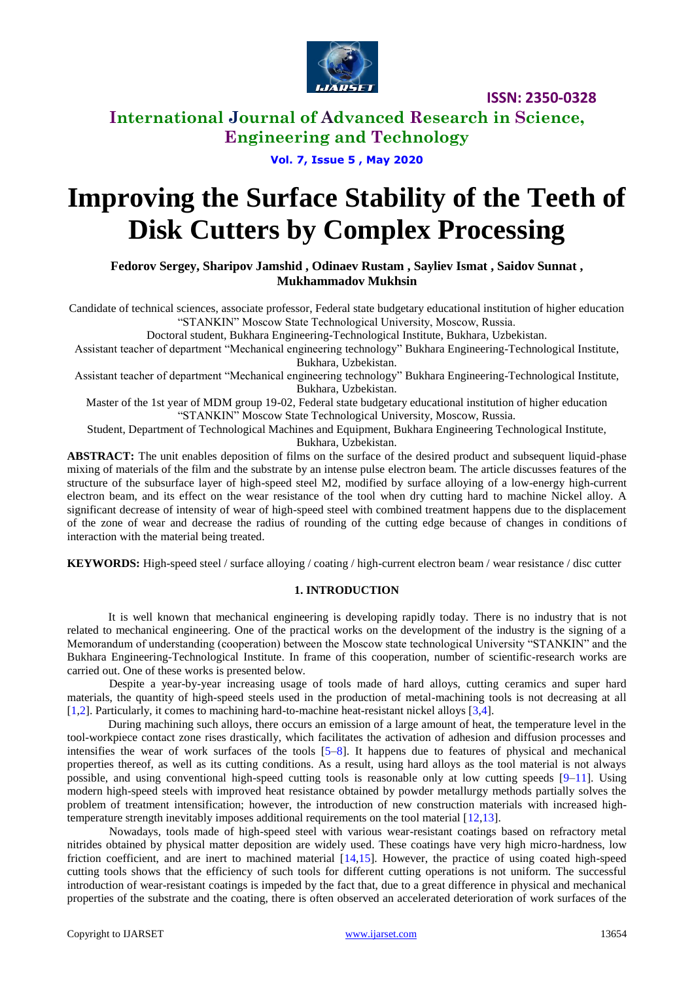

# **International Journal of Advanced Research in Science, Engineering and Technology**

**Vol. 7, Issue 5 , May 2020**

# **Improving the Surface Stability of the Teeth of Disk Cutters by Complex Processing**

**Fedorov Sergey, Sharipov Jamshid , Odinaev Rustam , Sayliev Ismat , Saidov Sunnat , Mukhammadov Mukhsin**

Candidate of technical sciences, associate professor, Federal state budgetary educational institution of higher education "STANKIN" Moscow State Technological University, Moscow, Russia.

Doctoral student, Bukhara Engineering-Technological Institute, Bukhara, Uzbekistan.

Assistant teacher of department "Mechanical engineering technology" Bukhara Engineering-Technological Institute, Bukhara, Uzbekistan.

Assistant teacher of department "Mechanical engineering technology" Bukhara Engineering-Technological Institute, Bukhara, Uzbekistan.

Master of the 1st year of MDM group 19-02, Federal state budgetary educational institution of higher education "STANKIN" Moscow State Technological University, Moscow, Russia.

Student, Department of Technological Machines and Equipment, Bukhara Engineering Technological Institute,

Bukhara, Uzbekistan.

**ABSTRACT:** The unit enables deposition of films on the surface of the desired product and subsequent liquid-phase mixing of materials of the film and the substrate by an intense pulse electron beam. The article discusses features of the structure of the subsurface layer of high-speed steel M2, modified by surface alloying of a low-energy high-current electron beam, and its effect on the wear resistance of the tool when dry cutting hard to machine Nickel alloy. A significant decrease of intensity of wear of high-speed steel with combined treatment happens due to the displacement of the zone of wear and decrease the radius of rounding of the cutting edge because of changes in conditions of interaction with the material being treated.

**KEYWORDS:** High-speed steel / surface alloying / coating / high-current electron beam / wear resistance / disc cutter

#### **1. INTRODUCTION**

It is well known that mechanical engineering is developing rapidly today. There is no industry that is not related to mechanical engineering. One of the practical works on the development of the industry is the signing of a Memorandum of understanding (cooperation) between the Moscow state technological University "STANKIN" and the Bukhara Engineering-Technological Institute. In frame of this cooperation, number of scientific-research works are carried out. One of these works is presented below.

Despite a year-by-year increasing usage of tools made of hard alloys, cutting ceramics and super hard materials, the quantity of high-speed steels used in the production of metal-machining tools is not decreasing at all [1,2]. Particularly, it comes to machining hard-to-machine heat-resistant nickel alloys [3,4].

During machining such alloys, there occurs an emission of a large amount of heat, the temperature level in the tool-workpiece contact zone rises drastically, which facilitates the activation of adhesion and diffusion processes and intensifies the wear of work surfaces of the tools [5–8]. It happens due to features of physical and mechanical properties thereof, as well as its cutting conditions. As a result, using hard alloys as the tool material is not always possible, and using conventional high-speed cutting tools is reasonable only at low cutting speeds [9–11]. Using modern high-speed steels with improved heat resistance obtained by powder metallurgy methods partially solves the problem of treatment intensification; however, the introduction of new construction materials with increased hightemperature strength inevitably imposes additional requirements on the tool material [12,13].

Nowadays, tools made of high-speed steel with various wear-resistant coatings based on refractory metal nitrides obtained by physical matter deposition are widely used. These coatings have very high micro-hardness, low friction coefficient, and are inert to machined material  $[14,15]$ . However, the practice of using coated high-speed cutting tools shows that the efficiency of such tools for different cutting operations is not uniform. The successful introduction of wear-resistant coatings is impeded by the fact that, due to a great difference in physical and mechanical properties of the substrate and the coating, there is often observed an accelerated deterioration of work surfaces of the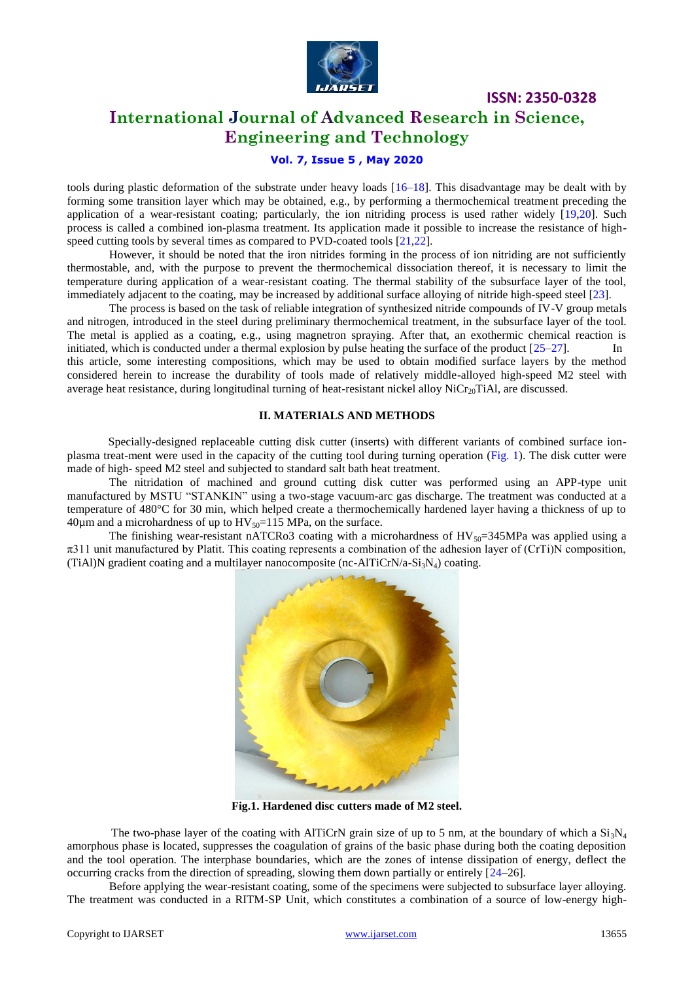

# **International Journal of Advanced Research in Science, Engineering and Technology**

### **Vol. 7, Issue 5 , May 2020**

tools during plastic deformation of the substrate under heavy loads [16–18]. This disadvantage may be dealt with by forming some transition layer which may be obtained, e.g., by performing a thermochemical treatment preceding the application of a wear-resistant coating; particularly, the ion nitriding process is used rather widely [19,20]. Such process is called a combined ion-plasma treatment. Its application made it possible to increase the resistance of highspeed cutting tools by several times as compared to PVD-coated tools [21,22].

However, it should be noted that the iron nitrides forming in the process of ion nitriding are not sufficiently thermostable, and, with the purpose to prevent the thermochemical dissociation thereof, it is necessary to limit the temperature during application of a wear-resistant coating. The thermal stability of the subsurface layer of the tool, immediately adjacent to the coating, may be increased by additional surface alloying of nitride high-speed steel [23].

The process is based on the task of reliable integration of synthesized nitride compounds of IV-V group metals and nitrogen, introduced in the steel during preliminary thermochemical treatment, in the subsurface layer of the tool. The metal is applied as a coating, e.g., using magnetron spraying. After that, an exothermic chemical reaction is initiated, which is conducted under a thermal explosion by pulse heating the surface of the product  $[25-27]$ . this article, some interesting compositions, which may be used to obtain modified surface layers by the method considered herein to increase the durability of tools made of relatively middle-alloyed high-speed M2 steel with average heat resistance, during longitudinal turning of heat-resistant nickel alloy  $\text{NiCr}_{20}\text{TiAl}$ , are discussed.

### **II. MATERIALS AND METHODS**

Specially-designed replaceable cutting disk cutter (inserts) with different variants of combined surface ionplasma treat-ment were used in the capacity of the cutting tool during turning operation (Fig. 1). The disk cutter were made of high- speed M2 steel and subjected to standard salt bath heat treatment.

The nitridation of machined and ground cutting disk cutter was performed using an APP-type unit manufactured by MSTU "STANKIN" using a two-stage vacuum-arc gas discharge. The treatment was conducted at a temperature of 480°C for 30 min, which helped create a thermochemically hardened layer having a thickness of up to 40 $\mu$ m and a microhardness of up to HV<sub>50</sub>=115 MPa, on the surface.

The finishing wear-resistant nATCRo3 coating with a microhardness of  $HV_{50}=345MPa$  was applied using a  $\pi$ 311 unit manufactured by Platit. This coating represents a combination of the adhesion layer of (CrTi)N composition, (TiAl)N gradient coating and a multilayer nanocomposite (nc-AlTiCrN/a-Si<sub>3</sub>N<sub>4</sub>) coating.



**Fig.1. Hardened disc cutters made of M2 steel.**

The two-phase layer of the coating with AlTiCrN grain size of up to 5 nm, at the boundary of which a  $Si<sub>3</sub>N<sub>4</sub>$ amorphous phase is located, suppresses the coagulation of grains of the basic phase during both the coating deposition and the tool operation. The interphase boundaries, which are the zones of intense dissipation of energy, deflect the occurring cracks from the direction of spreading, slowing them down partially or entirely [24–26].

Before applying the wear-resistant coating, some of the specimens were subjected to subsurface layer alloying. The treatment was conducted in a RITM-SP Unit, which constitutes a combination of a source of low-energy high-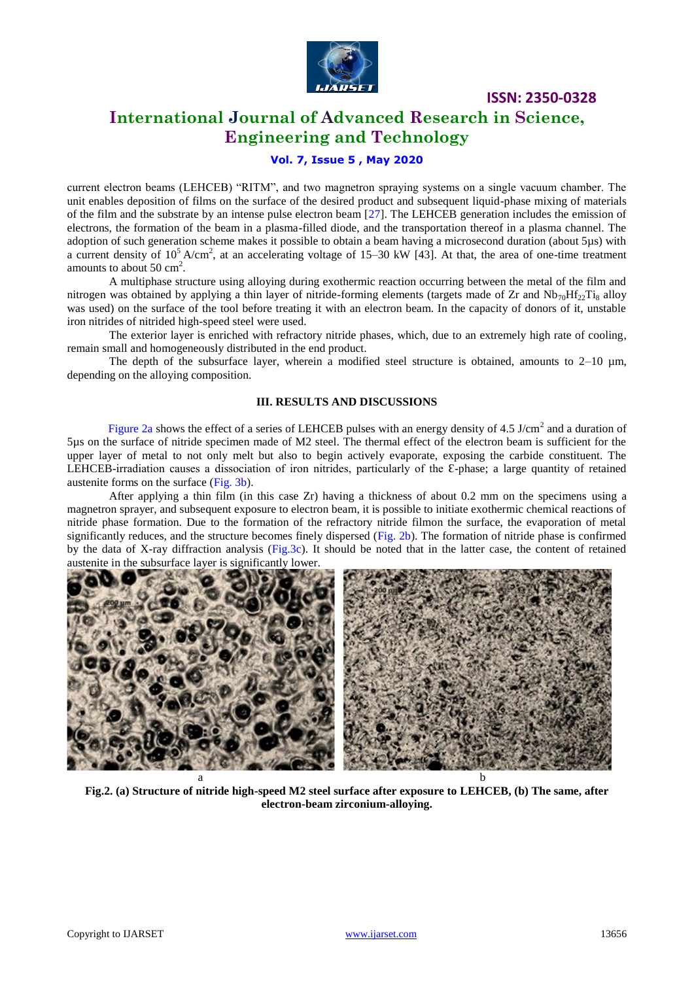

# **International Journal of Advanced Research in Science, Engineering and Technology**

### **Vol. 7, Issue 5 , May 2020**

current electron beams (LEHCEB) "RITM", and two magnetron spraying systems on a single vacuum chamber. The unit enables deposition of films on the surface of the desired product and subsequent liquid-phase mixing of materials of the film and the substrate by an intense pulse electron beam [27]. The LEHCEB generation includes the emission of electrons, the formation of the beam in a plasma-filled diode, and the transportation thereof in a plasma channel. The adoption of such generation scheme makes it possible to obtain a beam having a microsecond duration (about 5µs) with a current density of  $10^5$  A/cm<sup>2</sup>, at an accelerating voltage of 15–30 kW [43]. At that, the area of one-time treatment amounts to about  $50 \text{ cm}^2$ .

A multiphase structure using alloying during exothermic reaction occurring between the metal of the film and nitrogen was obtained by applying a thin layer of nitride-forming elements (targets made of Zr and  $Nb<sub>70</sub>Hf<sub>22</sub>Ti<sub>8</sub>$  alloy was used) on the surface of the tool before treating it with an electron beam. In the capacity of donors of it, unstable iron nitrides of nitrided high-speed steel were used.

The exterior layer is enriched with refractory nitride phases, which, due to an extremely high rate of cooling, remain small and homogeneously distributed in the end product.

The depth of the subsurface layer, wherein a modified steel structure is obtained, amounts to  $2-10 \mu m$ , depending on the alloying composition.

#### **III. RESULTS AND DISCUSSIONS**

Figure 2a shows the effect of a series of LEHCEB pulses with an energy density of 4.5 J/cm<sup>2</sup> and a duration of 5µs on the surface of nitride specimen made of M2 steel. The thermal effect of the electron beam is sufficient for the upper layer of metal to not only melt but also to begin actively evaporate, exposing the carbide constituent. The LEHCEB-irradiation causes a dissociation of iron nitrides, particularly of the  $\epsilon$ -phase; a large quantity of retained austenite forms on the surface (Fig. 3b).

After applying a thin film (in this case Zr) having a thickness of about 0.2 mm on the specimens using a magnetron sprayer, and subsequent exposure to electron beam, it is possible to initiate exothermic chemical reactions of nitride phase formation. Due to the formation of the refractory nitride filmon the surface, the evaporation of metal significantly reduces, and the structure becomes finely dispersed (Fig. 2b). The formation of nitride phase is confirmed by the data of X-ray diffraction analysis (Fig.3c). It should be noted that in the latter case, the content of retained austenite in the subsurface layer is significantly lower.



a b **Fig.2. (a) Structure of nitride high-speed M2 steel surface after exposure to LEHCEB, (b) The same, after electron-beam zirconium-alloying.**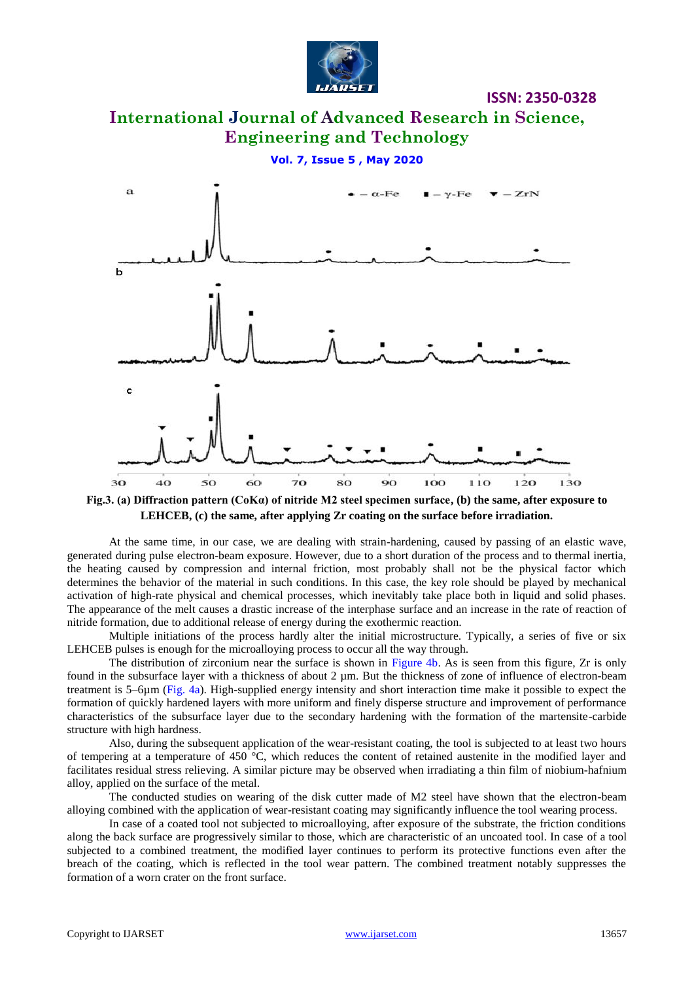

# **International Journal of Advanced Research in Science, Engineering and Technology**

### **Vol. 7, Issue 5 , May 2020**



**Fig.3. (a) Diffraction pattern (CoKα) of nitride M2 steel specimen surface, (b) the same, after exposure to LEHCEB, (c) the same, after applying Zr coating on the surface before irradiation.**

At the same time, in our case, we are dealing with strain-hardening, caused by passing of an elastic wave, generated during pulse electron-beam exposure. However, due to a short duration of the process and to thermal inertia, the heating caused by compression and internal friction, most probably shall not be the physical factor which determines the behavior of the material in such conditions. In this case, the key role should be played by mechanical activation of high-rate physical and chemical processes, which inevitably take place both in liquid and solid phases. The appearance of the melt causes a drastic increase of the interphase surface and an increase in the rate of reaction of nitride formation, due to additional release of energy during the exothermic reaction.

Multiple initiations of the process hardly alter the initial microstructure. Typically, a series of five or six LEHCEB pulses is enough for the microalloying process to occur all the way through.

The distribution of zirconium near the surface is shown in Figure 4b. As is seen from this figure, Zr is only found in the subsurface layer with a thickness of about 2 µm. But the thickness of zone of influence of electron-beam treatment is 5–6µm (Fig. 4a). High-supplied energy intensity and short interaction time make it possible to expect the formation of quickly hardened layers with more uniform and finely disperse structure and improvement of performance characteristics of the subsurface layer due to the secondary hardening with the formation of the martensite-carbide structure with high hardness.

Also, during the subsequent application of the wear-resistant coating, the tool is subjected to at least two hours of tempering at a temperature of 450 °C, which reduces the content of retained austenite in the modified layer and facilitates residual stress relieving. A similar picture may be observed when irradiating a thin film of niobium-hafnium alloy, applied on the surface of the metal.

The conducted studies on wearing of the disk cutter made of M2 steel have shown that the electron-beam alloying combined with the application of wear-resistant coating may significantly influence the tool wearing process.

In case of a coated tool not subjected to microalloying, after exposure of the substrate, the friction conditions along the back surface are progressively similar to those, which are characteristic of an uncoated tool. In case of a tool subjected to a combined treatment, the modified layer continues to perform its protective functions even after the breach of the coating, which is reflected in the tool wear pattern. The combined treatment notably suppresses the formation of a worn crater on the front surface.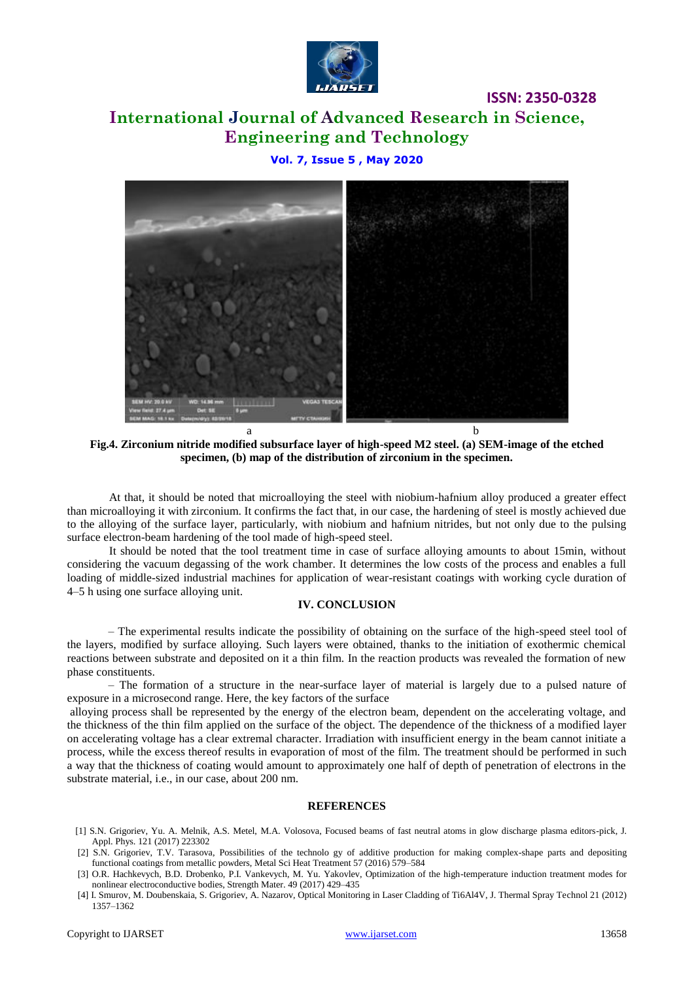

# **International Journal of Advanced Research in Science, Engineering and Technology**

### **Vol. 7, Issue 5 , May 2020**



**Fig.4. Zirconium nitride modified subsurface layer of high-speed M2 steel. (a) SEM-image of the etched specimen, (b) map of the distribution of zirconium in the specimen.**

At that, it should be noted that microalloying the steel with niobium-hafnium alloy produced a greater effect than microalloying it with zirconium. It confirms the fact that, in our case, the hardening of steel is mostly achieved due to the alloying of the surface layer, particularly, with niobium and hafnium nitrides, but not only due to the pulsing surface electron-beam hardening of the tool made of high-speed steel.

It should be noted that the tool treatment time in case of surface alloying amounts to about 15min, without considering the vacuum degassing of the work chamber. It determines the low costs of the process and enables a full loading of middle-sized industrial machines for application of wear-resistant coatings with working cycle duration of 4–5 h using one surface alloying unit.

#### **IV. CONCLUSION**

– The experimental results indicate the possibility of obtaining on the surface of the high-speed steel tool of the layers, modified by surface alloying. Such layers were obtained, thanks to the initiation of exothermic chemical reactions between substrate and deposited on it a thin film. In the reaction products was revealed the formation of new phase constituents.

– The formation of a structure in the near-surface layer of material is largely due to a pulsed nature of exposure in a microsecond range. Here, the key factors of the surface

alloying process shall be represented by the energy of the electron beam, dependent on the accelerating voltage, and the thickness of the thin film applied on the surface of the object. The dependence of the thickness of a modified layer on accelerating voltage has a clear extremal character. Irradiation with insufficient energy in the beam cannot initiate a process, while the excess thereof results in evaporation of most of the film. The treatment should be performed in such a way that the thickness of coating would amount to approximately one half of depth of penetration of electrons in the substrate material, i.e., in our case, about 200 nm.

#### **REFERENCES**

- [1] S.N. Grigoriev, Yu. A. Melnik, A.S. Metel, M.A. Volosova, Focused beams of fast neutral atoms in glow discharge plasma editors-pick, J. Appl. Phys. 121 (2017) 223302
- [2] S.N. Grigoriev, T.V. Tarasova, Possibilities of the technolo gy of additive production for making complex-shape parts and depositing functional coatings from metallic powders, Metal Sci Heat Treatment 57 (2016) 579–584
- [3] O.R. Hachkevych, B.D. Drobenko, P.I. Vankevych, M. Yu. Yakovlev, Optimization of the high-temperature induction treatment modes for nonlinear electroconductive bodies, Strength Mater. 49 (2017) 429–435
- [4] I. Smurov, M. Doubenskaia, S. Grigoriev, A. Nazarov, Optical Monitoring in Laser Cladding of Ti6Al4V, J. Thermal Spray Technol 21 (2012) 1357–1362